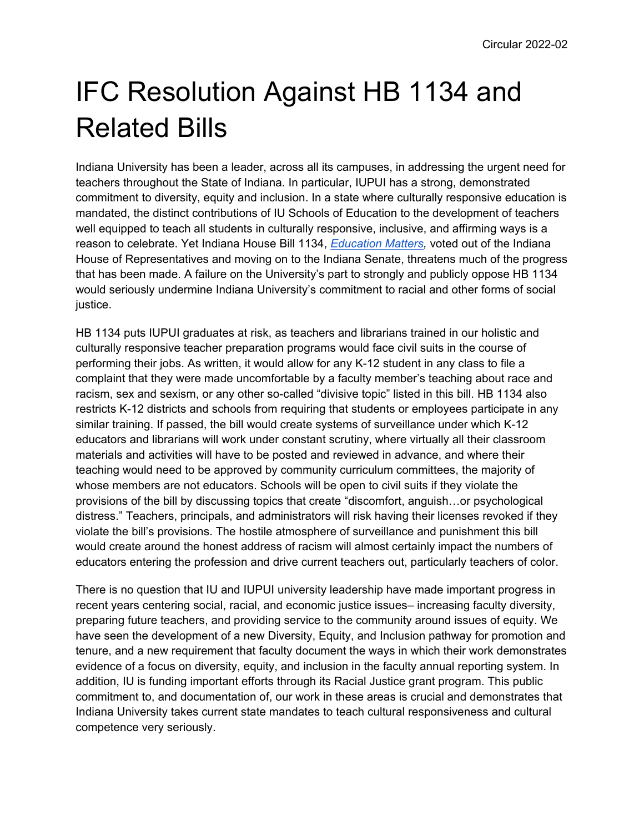## IFC Resolution Against HB 1134 and Related Bills

Indiana University has been a leader, across all its campuses, in addressing the urgent need for teachers throughout the State of Indiana. In particular, IUPUI has a strong, demonstrated commitment to diversity, equity and inclusion. In a state where culturally responsive education is mandated, the distinct contributions of IU Schools of Education to the development of teachers well equipped to teach all students in culturally responsive, inclusive, and affirming ways is a reason to celebrate. Yet Indiana House Bill 1134, *[Education Matters,](http://iga.in.gov/legislative/2022/bills/house/1134#document-444db694)* voted out of the Indiana House of Representatives and moving on to the Indiana Senate, threatens much of the progress that has been made. A failure on the University's part to strongly and publicly oppose HB 1134 would seriously undermine Indiana University's commitment to racial and other forms of social justice.

HB 1134 puts IUPUI graduates at risk, as teachers and librarians trained in our holistic and culturally responsive teacher preparation programs would face civil suits in the course of performing their jobs. As written, it would allow for any K-12 student in any class to file a complaint that they were made uncomfortable by a faculty member's teaching about race and racism, sex and sexism, or any other so-called "divisive topic" listed in this bill. HB 1134 also restricts K-12 districts and schools from requiring that students or employees participate in any similar training. If passed, the bill would create systems of surveillance under which K-12 educators and librarians will work under constant scrutiny, where virtually all their classroom materials and activities will have to be posted and reviewed in advance, and where their teaching would need to be approved by community curriculum committees, the majority of whose members are not educators. Schools will be open to civil suits if they violate the provisions of the bill by discussing topics that create "discomfort, anguish…or psychological distress." Teachers, principals, and administrators will risk having their licenses revoked if they violate the bill's provisions. The hostile atmosphere of surveillance and punishment this bill would create around the honest address of racism will almost certainly impact the numbers of educators entering the profession and drive current teachers out, particularly teachers of color.

There is no question that IU and IUPUI university leadership have made important progress in recent years centering social, racial, and economic justice issues– increasing faculty diversity, preparing future teachers, and providing service to the community around issues of equity. We have seen the development of a new Diversity, Equity, and Inclusion pathway for promotion and tenure, and a new requirement that faculty document the ways in which their work demonstrates evidence of a focus on diversity, equity, and inclusion in the faculty annual reporting system. In addition, IU is funding important efforts through its Racial Justice grant program. This public commitment to, and documentation of, our work in these areas is crucial and demonstrates that Indiana University takes current state mandates to teach cultural responsiveness and cultural competence very seriously.